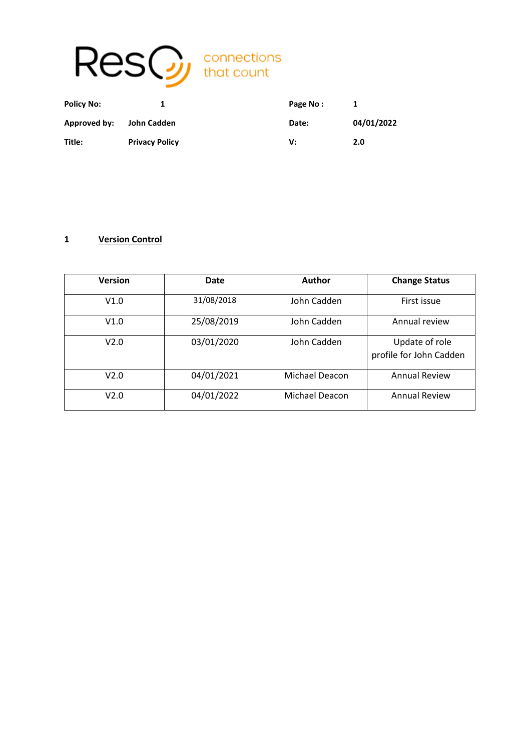

| <b>Policy No:</b> |                       | Page No: |            |
|-------------------|-----------------------|----------|------------|
| Approved by:      | John Cadden           | Date:    | 04/01/2022 |
| Title:            | <b>Privacy Policy</b> | v:       | 2.0        |

## **1 Version Control**

| <b>Version</b> | Date       | <b>Author</b>         | <b>Change Status</b>                      |
|----------------|------------|-----------------------|-------------------------------------------|
| V1.0           | 31/08/2018 | John Cadden           | First issue                               |
| V1.0           | 25/08/2019 | John Cadden           | Annual review                             |
| V2.0           | 03/01/2020 | John Cadden           | Update of role<br>profile for John Cadden |
| V2.0           | 04/01/2021 | <b>Michael Deacon</b> | <b>Annual Review</b>                      |
| V2.0           | 04/01/2022 | Michael Deacon        | <b>Annual Review</b>                      |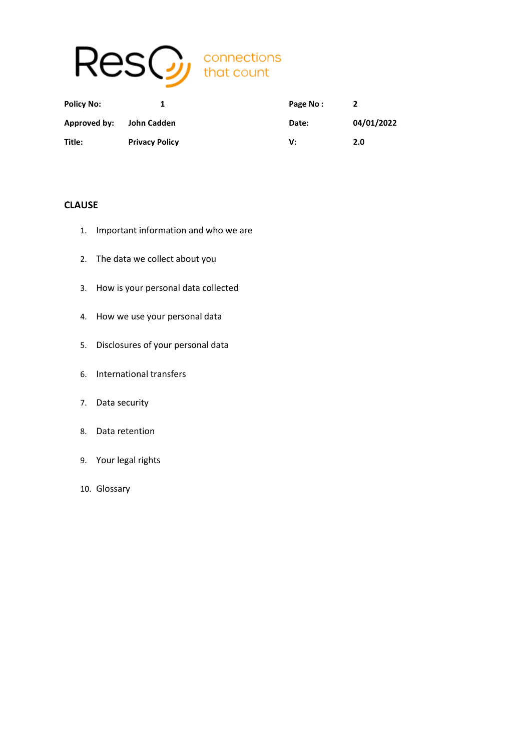

| <b>Policy No:</b> | 1                     | Page No: |            |
|-------------------|-----------------------|----------|------------|
| Approved by:      | John Cadden           | Date:    | 04/01/2022 |
| Title:            | <b>Privacy Policy</b> | v:       | 2.0        |

# **CLAUSE**

- 1. Important information and who we are
- 2. The data we collect about you
- 3. How is your personal data collected
- 4. How we use your personal data
- 5. Disclosures of your personal data
- 6. International transfers
- 7. Data security
- 8. Data retention
- 9. Your legal rights
- 10. Glossary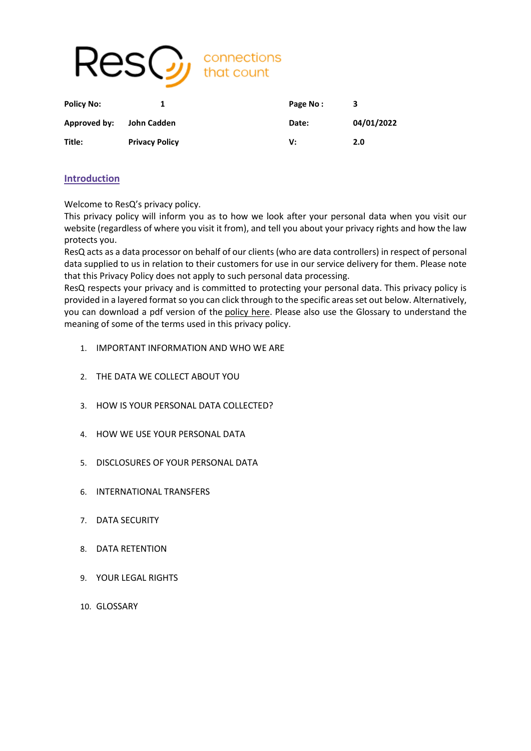

| <b>Policy No:</b> |                       | Page No: |            |
|-------------------|-----------------------|----------|------------|
| Approved by:      | John Cadden           | Date:    | 04/01/2022 |
| Title:            | <b>Privacy Policy</b> | v:       | 2.0        |

# **Introduction**

Welcome to ResQ's privacy policy.

This privacy policy will inform you as to how we look after your personal data when you visit our website (regardless of where you visit it from), and tell you about your privacy rights and how the law protects you.

ResQ acts as a data processor on behalf of our clients (who are data controllers) in respect of personal data supplied to us in relation to their customers for use in our service delivery for them. Please note that this Privacy Policy does not apply to such personal data processing.

ResQ respects your privacy and is committed to protecting your personal data. This privacy policy is provided in a layered format so you can click through to the specific areas set out below. Alternatively, you can download a pdf version of the [policy here.](https://resqcs.co.uk/wp-content/uploads/2020/09/ResQ-Ltd-Privacy-Policy-1-December.pdf) Please also use the Glossary to understand the meaning of some of the terms used in this privacy policy.

- 1. IMPORTANT INFORMATION AND WHO WE ARE
- 2. THE DATA WE COLLECT ABOUT YOU
- 3. HOW IS YOUR PERSONAL DATA COLLECTED?
- 4. HOW WE USE YOUR PERSONAL DATA
- 5. DISCLOSURES OF YOUR PERSONAL DATA
- 6. INTERNATIONAL TRANSFERS
- 7. DATA SECURITY
- 8. DATA RETENTION
- 9. YOUR LEGAL RIGHTS
- 10. GLOSSARY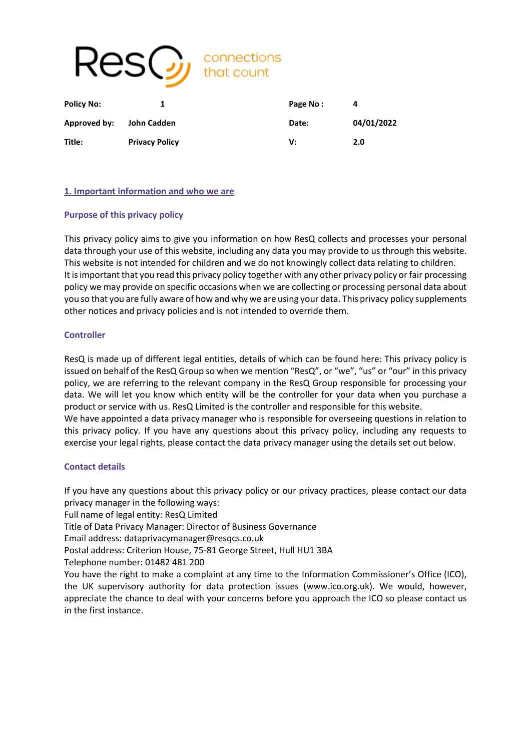

| <b>Policy No:</b> |                       | Page No: | 4          |
|-------------------|-----------------------|----------|------------|
| Approved by:      | John Cadden           | Date:    | 04/01/2022 |
| Title:            | <b>Privacy Policy</b> | v:       | 2.0        |

## **1. Important information and who we are**

## **Purpose of this privacy policy**

This privacy policy aims to give you information on how ResQ collects and processes your personal data through your use of this website, including any data you may provide to us through this website. This website is not intended for children and we do not knowingly collect data relating to children. It is important that you read this privacy policy together with any other privacy policy or fair processing policy we may provide on specific occasions when we are collecting or processing personal data about you so that you are fully aware of how and why we are using your data. This privacy policy supplements other notices and privacy policies and is not intended to override them.

## **Controller**

ResQ is made up of different legal entities, details of which can be found here: This privacy policy is issued on behalf of the ResQ Group so when we mention "ResQ", or "we", "us" or "our" in this privacy policy, we are referring to the relevant company in the ResQ Group responsible for processing your data. We will let you know which entity will be the controller for your data when you purchase a product or service with us. ResQ Limited is the controller and responsible for this website. We have appointed a data privacy manager who is responsible for overseeing questions in relation to this privacy policy. If you have any questions about this privacy policy, including any requests to exercise your legal rights, please contact the data privacy manager using the details set out below.

# **Contact details**

If you have any questions about this privacy policy or our privacy practices, please contact our data privacy manager in the following ways:

Full name of legal entity: ResQ Limited

Title of Data Privacy Manager: Director of Business Governance

Email address: [dataprivacymanager@resqcs.co.uk](mailto:dataprivacymanager@resqcs.co.uk)

Postal address: Criterion House, 75-81 George Street, Hull HU1 3BA

Telephone number: 01482 481 200

You have the right to make a complaint at any time to the Information Commissioner's Office (ICO), the UK supervisory authority for data protection issues [\(www.ico.org.uk\)](http://www.ico.org.uk/). We would, however, appreciate the chance to deal with your concerns before you approach the ICO so please contact us in the first instance.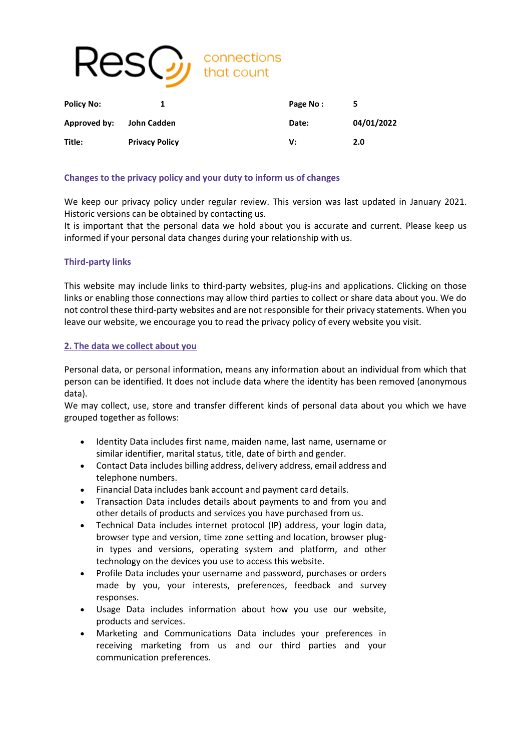

| <b>Policy No:</b> |                       | Page No: | 5          |
|-------------------|-----------------------|----------|------------|
| Approved by:      | John Cadden           | Date:    | 04/01/2022 |
| Title:            | <b>Privacy Policy</b> | v:       | 2.0        |

### **Changes to the privacy policy and your duty to inform us of changes**

We keep our privacy policy under regular review. This version was last updated in January 2021. Historic versions can be obtained by contacting us.

It is important that the personal data we hold about you is accurate and current. Please keep us informed if your personal data changes during your relationship with us.

### **Third-party links**

This website may include links to third-party websites, plug-ins and applications. Clicking on those links or enabling those connections may allow third parties to collect or share data about you. We do not control these third-party websites and are not responsible for their privacy statements. When you leave our website, we encourage you to read the privacy policy of every website you visit.

### **2. The data we collect about you**

Personal data, or personal information, means any information about an individual from which that person can be identified. It does not include data where the identity has been removed (anonymous data).

We may collect, use, store and transfer different kinds of personal data about you which we have grouped together as follows:

- Identity Data includes first name, maiden name, last name, username or similar identifier, marital status, title, date of birth and gender.
- Contact Data includes billing address, delivery address, email address and telephone numbers.
- Financial Data includes bank account and payment card details.
- Transaction Data includes details about payments to and from you and other details of products and services you have purchased from us.
- Technical Data includes internet protocol (IP) address, your login data, browser type and version, time zone setting and location, browser plugin types and versions, operating system and platform, and other technology on the devices you use to access this website.
- Profile Data includes your username and password, purchases or orders made by you, your interests, preferences, feedback and survey responses.
- Usage Data includes information about how you use our website, products and services.
- Marketing and Communications Data includes your preferences in receiving marketing from us and our third parties and your communication preferences.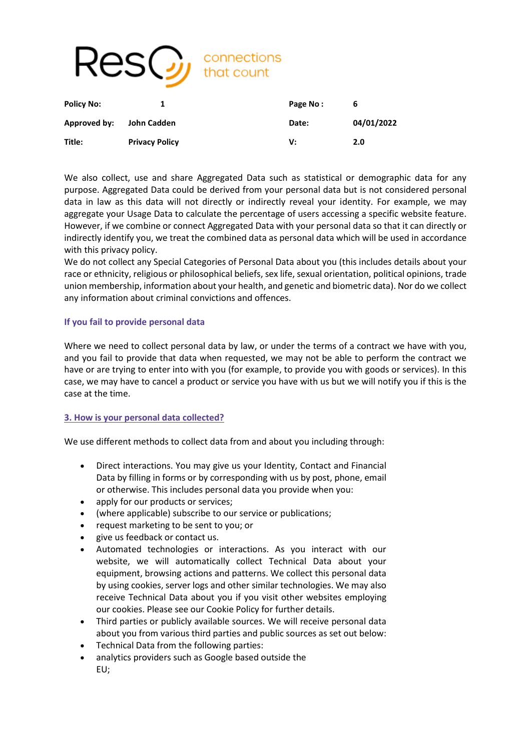

| <b>Policy No:</b> |                       | Page No: |            |
|-------------------|-----------------------|----------|------------|
| Approved by:      | John Cadden           | Date:    | 04/01/2022 |
| Title:            | <b>Privacy Policy</b> | v:       | 2.0        |

We also collect, use and share Aggregated Data such as statistical or demographic data for any purpose. Aggregated Data could be derived from your personal data but is not considered personal data in law as this data will not directly or indirectly reveal your identity. For example, we may aggregate your Usage Data to calculate the percentage of users accessing a specific website feature. However, if we combine or connect Aggregated Data with your personal data so that it can directly or indirectly identify you, we treat the combined data as personal data which will be used in accordance with this privacy policy.

We do not collect any Special Categories of Personal Data about you (this includes details about your race or ethnicity, religious or philosophical beliefs, sex life, sexual orientation, political opinions, trade union membership, information about your health, and genetic and biometric data). Nor do we collect any information about criminal convictions and offences.

## **If you fail to provide personal data**

Where we need to collect personal data by law, or under the terms of a contract we have with you, and you fail to provide that data when requested, we may not be able to perform the contract we have or are trying to enter into with you (for example, to provide you with goods or services). In this case, we may have to cancel a product or service you have with us but we will notify you if this is the case at the time.

# **3. How is your personal data collected?**

We use different methods to collect data from and about you including through:

- Direct interactions. You may give us your Identity, Contact and Financial Data by filling in forms or by corresponding with us by post, phone, email or otherwise. This includes personal data you provide when you:
- apply for our products or services;
- (where applicable) subscribe to our service or publications;
- request marketing to be sent to you; or
- give us feedback or contact us.
- Automated technologies or interactions. As you interact with our website, we will automatically collect Technical Data about your equipment, browsing actions and patterns. We collect this personal data by using cookies, server logs and other similar technologies. We may also receive Technical Data about you if you visit other websites employing our cookies. Please see our Cookie Policy for further details.
- Third parties or publicly available sources. We will receive personal data about you from various third parties and public sources as set out below:
- Technical Data from the following parties:
- analytics providers such as Google based outside the EU;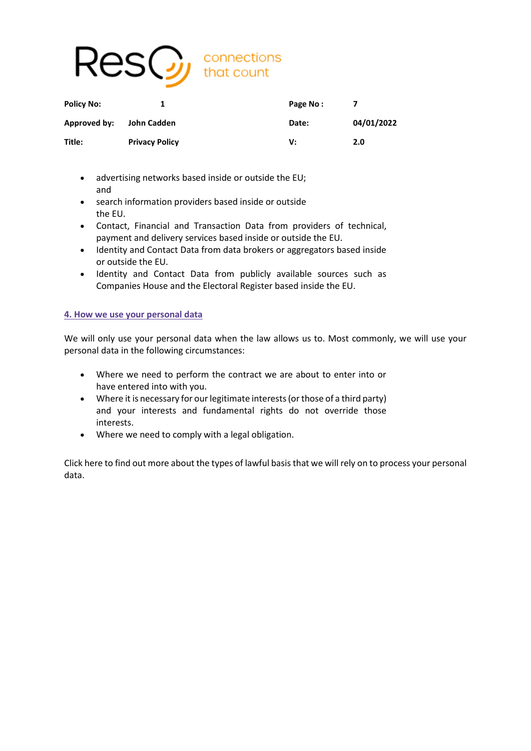

| <b>Policy No:</b> |                       | Page No: |            |
|-------------------|-----------------------|----------|------------|
| Approved by:      | John Cadden           | Date:    | 04/01/2022 |
| Title:            | <b>Privacy Policy</b> | v:       | 2.0        |

- advertising networks based inside or outside the EU; and
- search information providers based inside or outside the EU.
- Contact, Financial and Transaction Data from providers of technical, payment and delivery services based inside or outside the EU.
- Identity and Contact Data from data brokers or aggregators based inside or outside the EU.
- Identity and Contact Data from publicly available sources such as Companies House and the Electoral Register based inside the EU.

# **4. How we use your personal data**

We will only use your personal data when the law allows us to. Most commonly, we will use your personal data in the following circumstances:

- Where we need to perform the contract we are about to enter into or have entered into with you.
- Where it is necessary for our legitimate interests (or those of a third party) and your interests and fundamental rights do not override those interests.
- Where we need to comply with a legal obligation.

Click here to find out more about the types of lawful basis that we will rely on to process your personal data.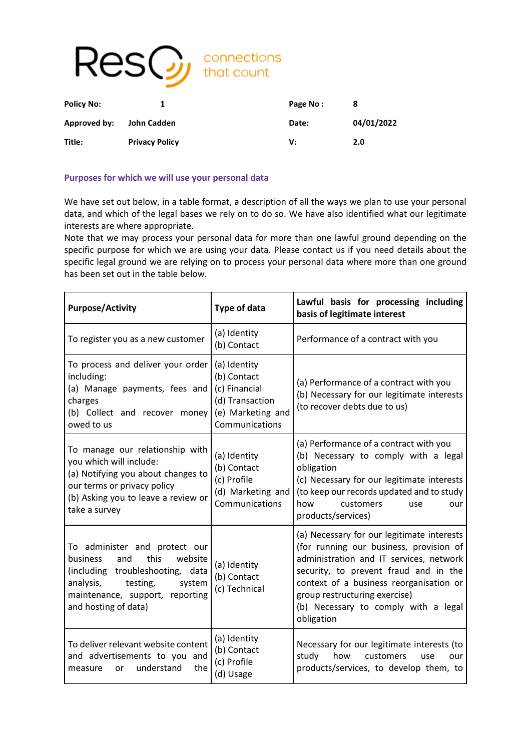

| <b>Policy No:</b> |                       | Page No: |            |
|-------------------|-----------------------|----------|------------|
| Approved by:      | John Cadden           | Date:    | 04/01/2022 |
| Title:            | <b>Privacy Policy</b> | v:       | 2.0        |

### **Purposes for which we will use your personal data**

We have set out below, in a table format, a description of all the ways we plan to use your personal data, and which of the legal bases we rely on to do so. We have also identified what our legitimate interests are where appropriate.

Note that we may process your personal data for more than one lawful ground depending on the specific purpose for which we are using your data. Please contact us if you need details about the specific legal ground we are relying on to process your personal data where more than one ground has been set out in the table below.

| <b>Purpose/Activity</b>                                                                                                                                                                                  | Type of data                                                                                           | Lawful basis for processing including<br>basis of legitimate interest                                                                                                                                                                                                                                       |
|----------------------------------------------------------------------------------------------------------------------------------------------------------------------------------------------------------|--------------------------------------------------------------------------------------------------------|-------------------------------------------------------------------------------------------------------------------------------------------------------------------------------------------------------------------------------------------------------------------------------------------------------------|
| To register you as a new customer                                                                                                                                                                        | (a) Identity<br>(b) Contact                                                                            | Performance of a contract with you                                                                                                                                                                                                                                                                          |
| To process and deliver your order<br>including:<br>(a) Manage payments, fees and<br>charges<br>(b) Collect and recover money<br>owed to us                                                               | (a) Identity<br>(b) Contact<br>(c) Financial<br>(d) Transaction<br>(e) Marketing and<br>Communications | (a) Performance of a contract with you<br>(b) Necessary for our legitimate interests<br>(to recover debts due to us)                                                                                                                                                                                        |
| To manage our relationship with<br>you which will include:<br>(a) Notifying you about changes to<br>our terms or privacy policy<br>(b) Asking you to leave a review or<br>take a survey                  | (a) Identity<br>(b) Contact<br>(c) Profile<br>(d) Marketing and<br>Communications                      | (a) Performance of a contract with you<br>(b) Necessary to comply with a legal<br>obligation<br>(c) Necessary for our legitimate interests<br>(to keep our records updated and to study<br>how<br>customers<br>use<br>our<br>products/services)                                                             |
| To administer and protect our<br>this<br>business<br>and<br>website<br>(including troubleshooting, data<br>analysis,<br>testing,<br>system<br>maintenance, support,<br>reporting<br>and hosting of data) | (a) Identity<br>(b) Contact<br>(c) Technical                                                           | (a) Necessary for our legitimate interests<br>(for running our business, provision of<br>administration and IT services, network<br>security, to prevent fraud and in the<br>context of a business reorganisation or<br>group restructuring exercise)<br>(b) Necessary to comply with a legal<br>obligation |
| To deliver relevant website content<br>and advertisements to you and<br>understand<br>or<br>the<br>measure                                                                                               | (a) Identity<br>(b) Contact<br>(c) Profile<br>(d) Usage                                                | Necessary for our legitimate interests (to<br>study<br>how<br>customers<br>use<br>our<br>products/services, to develop them, to                                                                                                                                                                             |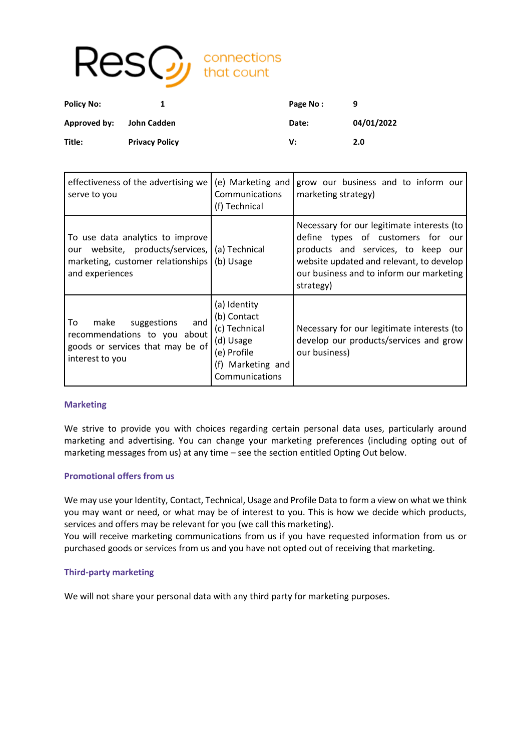

| <b>Policy No:</b> |                       | Page No: |            |
|-------------------|-----------------------|----------|------------|
| Approved by:      | John Cadden           | Date:    | 04/01/2022 |
| Title:            | <b>Privacy Policy</b> | v:       | 2.0        |

| effectiveness of the advertising we<br>serve to you                                                                                            | (e) Marketing and<br>Communications<br>(f) Technical                                                            | grow our business and to inform our<br>marketing strategy)                                                                                                                                                                    |
|------------------------------------------------------------------------------------------------------------------------------------------------|-----------------------------------------------------------------------------------------------------------------|-------------------------------------------------------------------------------------------------------------------------------------------------------------------------------------------------------------------------------|
| To use data analytics to improve<br>website, products/services,   (a) Technical<br>our<br>marketing, customer relationships<br>and experiences | (b) Usage                                                                                                       | Necessary for our legitimate interests (to<br>define types of customers for<br>our<br>products and services, to keep our<br>website updated and relevant, to develop<br>our business and to inform our marketing<br>strategy) |
| make<br>suggestions<br>To<br>and<br>recommendations to you about<br>goods or services that may be of<br>interest to you                        | (a) Identity<br>(b) Contact<br>(c) Technical<br>(d) Usage<br>(e) Profile<br>(f) Marketing and<br>Communications | Necessary for our legitimate interests (to<br>develop our products/services and grow<br>our business)                                                                                                                         |

### **Marketing**

We strive to provide you with choices regarding certain personal data uses, particularly around marketing and advertising. You can change your marketing preferences (including opting out of marketing messages from us) at any time – see the section entitled Opting Out below.

### **Promotional offers from us**

We may use your Identity, Contact, Technical, Usage and Profile Data to form a view on what we think you may want or need, or what may be of interest to you. This is how we decide which products, services and offers may be relevant for you (we call this marketing).

You will receive marketing communications from us if you have requested information from us or purchased goods or services from us and you have not opted out of receiving that marketing.

#### **Third-party marketing**

We will not share your personal data with any third party for marketing purposes.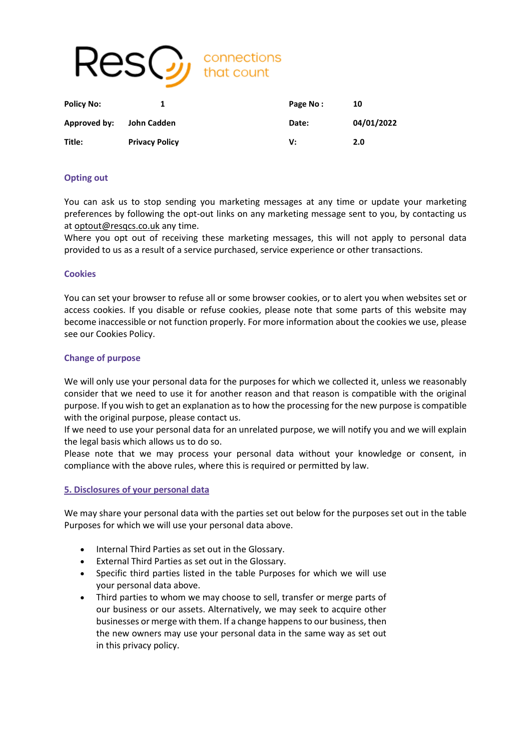

| <b>Policy No:</b> |                       | Page No: | 10         |
|-------------------|-----------------------|----------|------------|
| Approved by:      | John Cadden           | Date:    | 04/01/2022 |
| Title:            | <b>Privacy Policy</b> | v:       | 2.0        |

## **Opting out**

You can ask us to stop sending you marketing messages at any time or update your marketing preferences by following the opt-out links on any marketing message sent to you, by contacting us at [optout@resqcs.co.uk](mailto:optout@resqcs.co.uk) any time.

Where you opt out of receiving these marketing messages, this will not apply to personal data provided to us as a result of a service purchased, service experience or other transactions.

#### **Cookies**

You can set your browser to refuse all or some browser cookies, or to alert you when websites set or access cookies. If you disable or refuse cookies, please note that some parts of this website may become inaccessible or not function properly. For more information about the cookies we use, please see our Cookies Policy.

#### **Change of purpose**

We will only use your personal data for the purposes for which we collected it, unless we reasonably consider that we need to use it for another reason and that reason is compatible with the original purpose. If you wish to get an explanation as to how the processing for the new purpose is compatible with the original purpose, please contact us.

If we need to use your personal data for an unrelated purpose, we will notify you and we will explain the legal basis which allows us to do so.

Please note that we may process your personal data without your knowledge or consent, in compliance with the above rules, where this is required or permitted by law.

### **5. Disclosures of your personal data**

We may share your personal data with the parties set out below for the purposes set out in the table Purposes for which we will use your personal data above.

- Internal Third Parties as set out in the Glossary.
- External Third Parties as set out in the Glossary.
- Specific third parties listed in the table Purposes for which we will use your personal data above.
- Third parties to whom we may choose to sell, transfer or merge parts of our business or our assets. Alternatively, we may seek to acquire other businesses or merge with them. If a change happens to our business, then the new owners may use your personal data in the same way as set out in this privacy policy.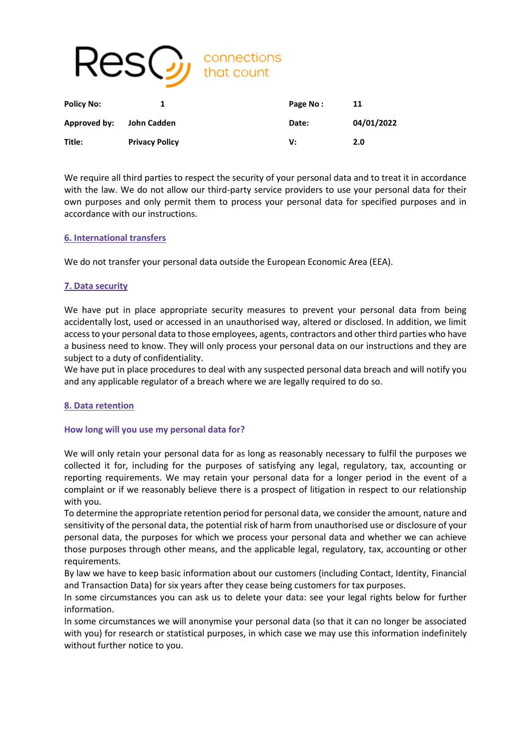

| <b>Policy No:</b> |                       | Page No: | 11         |
|-------------------|-----------------------|----------|------------|
| Approved by:      | John Cadden           | Date:    | 04/01/2022 |
| Title:            | <b>Privacy Policy</b> | v:       | 2.0        |

We require all third parties to respect the security of your personal data and to treat it in accordance with the law. We do not allow our third-party service providers to use your personal data for their own purposes and only permit them to process your personal data for specified purposes and in accordance with our instructions.

### **6. International transfers**

We do not transfer your personal data outside the European Economic Area (EEA).

## **7. Data security**

We have put in place appropriate security measures to prevent your personal data from being accidentally lost, used or accessed in an unauthorised way, altered or disclosed. In addition, we limit access to your personal data to those employees, agents, contractors and other third parties who have a business need to know. They will only process your personal data on our instructions and they are subject to a duty of confidentiality.

We have put in place procedures to deal with any suspected personal data breach and will notify you and any applicable regulator of a breach where we are legally required to do so.

# **8. Data retention**

### **How long will you use my personal data for?**

We will only retain your personal data for as long as reasonably necessary to fulfil the purposes we collected it for, including for the purposes of satisfying any legal, regulatory, tax, accounting or reporting requirements. We may retain your personal data for a longer period in the event of a complaint or if we reasonably believe there is a prospect of litigation in respect to our relationship with you.

To determine the appropriate retention period for personal data, we consider the amount, nature and sensitivity of the personal data, the potential risk of harm from unauthorised use or disclosure of your personal data, the purposes for which we process your personal data and whether we can achieve those purposes through other means, and the applicable legal, regulatory, tax, accounting or other requirements.

By law we have to keep basic information about our customers (including Contact, Identity, Financial and Transaction Data) for six years after they cease being customers for tax purposes.

In some circumstances you can ask us to delete your data: see your legal rights below for further information.

In some circumstances we will anonymise your personal data (so that it can no longer be associated with you) for research or statistical purposes, in which case we may use this information indefinitely without further notice to you.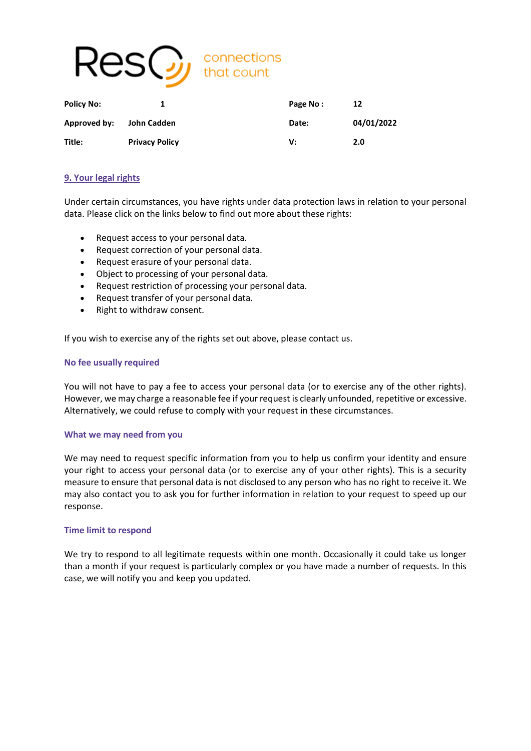

| <b>Policy No:</b> |                       | Page No: | 12         |
|-------------------|-----------------------|----------|------------|
| Approved by:      | John Cadden           | Date:    | 04/01/2022 |
| Title:            | <b>Privacy Policy</b> | v:       | 2.0        |

## **9. Your legal rights**

Under certain circumstances, you have rights under data protection laws in relation to your personal data. Please click on the links below to find out more about these rights:

- Request access to your personal data.
- Request correction of your personal data.
- Request erasure of your personal data.
- Object to processing of your personal data.
- Request restriction of processing your personal data.
- Request transfer of your personal data.
- Right to withdraw consent.

If you wish to exercise any of the rights set out above, please contact us.

### **No fee usually required**

You will not have to pay a fee to access your personal data (or to exercise any of the other rights). However, we may charge a reasonable fee if your request is clearly unfounded, repetitive or excessive. Alternatively, we could refuse to comply with your request in these circumstances.

### **What we may need from you**

We may need to request specific information from you to help us confirm your identity and ensure your right to access your personal data (or to exercise any of your other rights). This is a security measure to ensure that personal data is not disclosed to any person who has no right to receive it. We may also contact you to ask you for further information in relation to your request to speed up our response.

### **Time limit to respond**

We try to respond to all legitimate requests within one month. Occasionally it could take us longer than a month if your request is particularly complex or you have made a number of requests. In this case, we will notify you and keep you updated.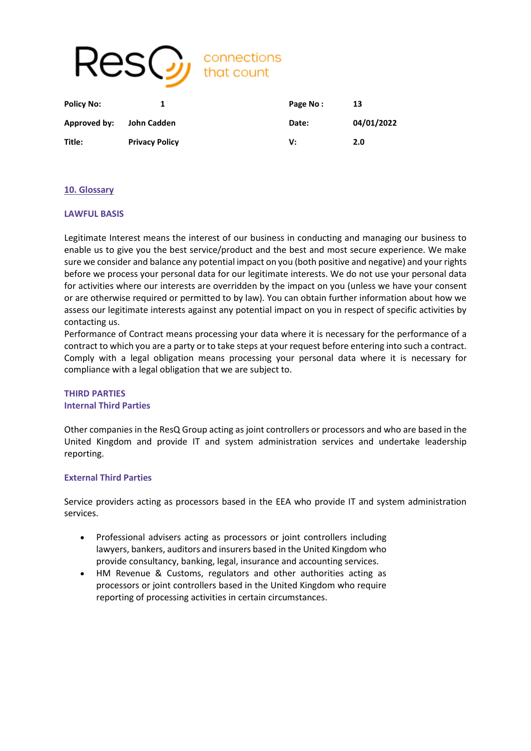

| <b>Policy No:</b> |                       | Page No: | 13         |
|-------------------|-----------------------|----------|------------|
| Approved by:      | John Cadden           | Date:    | 04/01/2022 |
| Title:            | <b>Privacy Policy</b> | v:       | 2.0        |

#### **10. Glossary**

#### **LAWFUL BASIS**

Legitimate Interest means the interest of our business in conducting and managing our business to enable us to give you the best service/product and the best and most secure experience. We make sure we consider and balance any potential impact on you (both positive and negative) and your rights before we process your personal data for our legitimate interests. We do not use your personal data for activities where our interests are overridden by the impact on you (unless we have your consent or are otherwise required or permitted to by law). You can obtain further information about how we assess our legitimate interests against any potential impact on you in respect of specific activities by contacting us.

Performance of Contract means processing your data where it is necessary for the performance of a contract to which you are a party or to take steps at your request before entering into such a contract. Comply with a legal obligation means processing your personal data where it is necessary for compliance with a legal obligation that we are subject to.

## **THIRD PARTIES Internal Third Parties**

Other companies in the ResQ Group acting as joint controllers or processors and who are based in the United Kingdom and provide IT and system administration services and undertake leadership reporting.

### **External Third Parties**

Service providers acting as processors based in the EEA who provide IT and system administration services.

- Professional advisers acting as processors or joint controllers including lawyers, bankers, auditors and insurers based in the United Kingdom who provide consultancy, banking, legal, insurance and accounting services.
- HM Revenue & Customs, regulators and other authorities acting as processors or joint controllers based in the United Kingdom who require reporting of processing activities in certain circumstances.